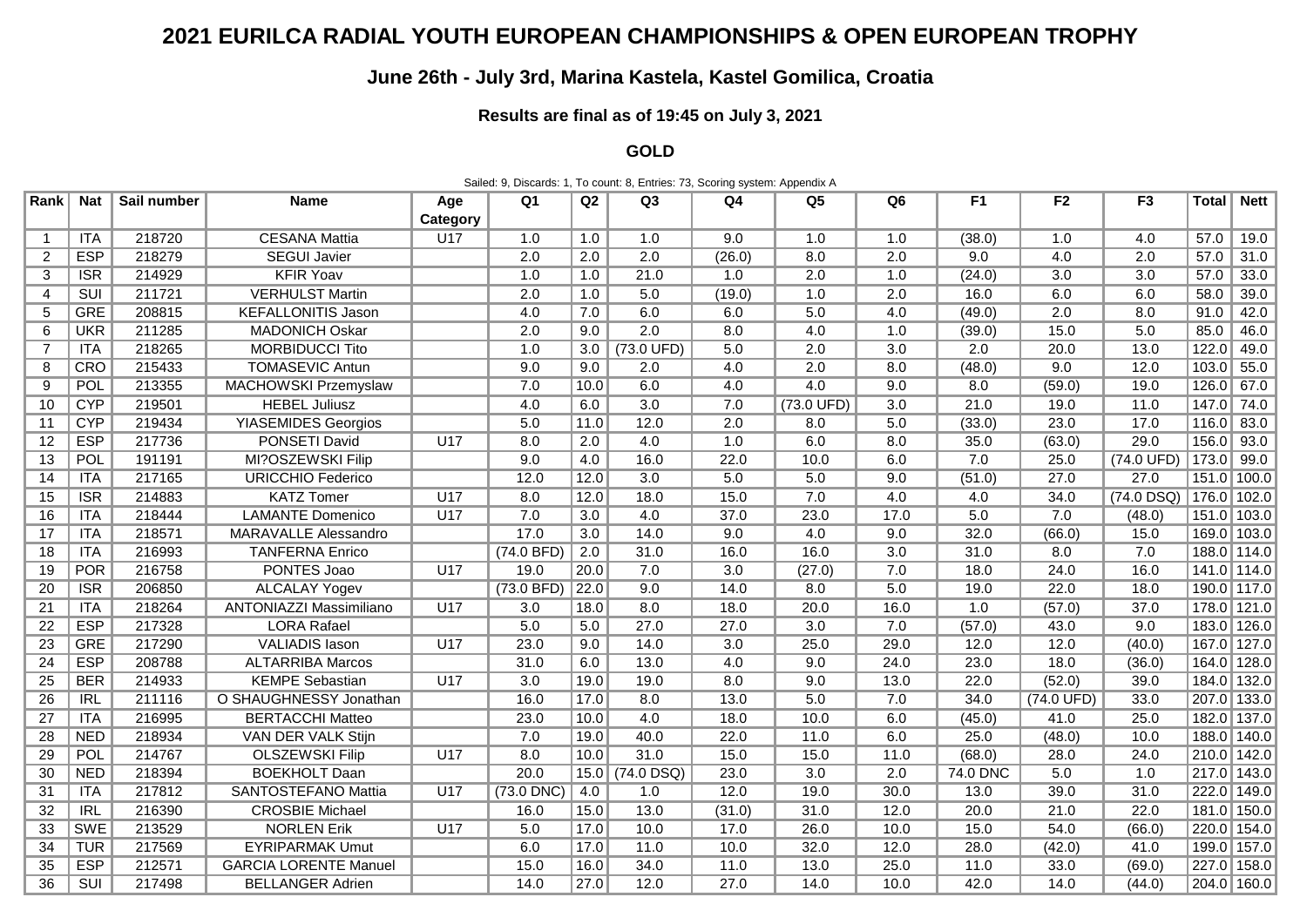## **2021 EURILCA RADIAL YOUTH EUROPEAN CHAMPIONSHIPS & OPEN EUROPEAN TROPHY**

## **June 26th - July 3rd, Marina Kastela, Kastel Gomilica, Croatia**

## **Results are final as of 19:45 on July 3, 2021**

**GOLD**

Sailed: 9, Discards: 1, To count: 8, Entries: 73, Scoring system: Appendix A

| Rank            | <b>Nat</b>              | Sail number | <b>Name</b>                  | Age      | Q <sub>1</sub>   | Q2                | Q <sub>3</sub>       | Q4               | Q <sub>5</sub>       | Q <sub>6</sub>   | F <sub>1</sub> | F <sub>2</sub>       | F <sub>3</sub> | <b>Total</b>  | <b>Nett</b> |
|-----------------|-------------------------|-------------|------------------------------|----------|------------------|-------------------|----------------------|------------------|----------------------|------------------|----------------|----------------------|----------------|---------------|-------------|
|                 |                         |             |                              | Category |                  |                   |                      |                  |                      |                  |                |                      |                |               |             |
| $\overline{1}$  | <b>ITA</b>              | 218720      | <b>CESANA Mattia</b>         | U17      | 1.0              | 1.0               | 1.0                  | 9.0              | 1.0                  | 1.0              | (38.0)         | 1.0                  | 4.0            | 57.0          | 19.0        |
| $\overline{2}$  | <b>ESP</b>              | 218279      | <b>SEGUI Javier</b>          |          | 2.0              | 2.0               | $\overline{2.0}$     | (26.0)           | 8.0                  | 2.0              | 9.0            | 4.0                  | 2.0            | 57.0          | 31.0        |
| 3               | $\overline{\text{ISR}}$ | 214929      | <b>KFIR Yoav</b>             |          | 1.0              | 1.0               | 21.0                 | 1.0              | 2.0                  | 1.0              | (24.0)         | $\overline{3.0}$     | 3.0            | 57.0          | 33.0        |
| $\overline{4}$  | $\overline{SUI}$        | 211721      | <b>VERHULST Martin</b>       |          | 2.0              | 1.0               | 5.0                  | (19.0)           | 1.0                  | 2.0              | 16.0           | 6.0                  | 6.0            | 58.0          | 39.0        |
| 5               | <b>GRE</b>              | 208815      | <b>KEFALLONITIS Jason</b>    |          | 4.0              | 7.0               | 6.0                  | 6.0              | 5.0                  | 4.0              | (49.0)         | 2.0                  | 8.0            | 91.0          | 42.0        |
| 6               | <b>UKR</b>              | 211285      | <b>MADONICH Oskar</b>        |          | 2.0              | 9.0               | $\overline{2.0}$     | 8.0              | 4.0                  | 1.0              | (39.0)         | 15.0                 | 5.0            | 85.0          | 46.0        |
| 7               | ITA                     | 218265      | <b>MORBIDUCCI Tito</b>       |          | 1.0              | 3.0               | $(73.0 \text{ UFD})$ | 5.0              | 2.0                  | 3.0              | 2.0            | 20.0                 | 13.0           | 122.0         | 49.0        |
| 8               | CRO                     | 215433      | <b>TOMASEVIC Antun</b>       |          | 9.0              | 9.0               | 2.0                  | 4.0              | 2.0                  | 8.0              | (48.0)         | 9.0                  | 12.0           | 103.0         | 55.0        |
| 9               | POL                     | 213355      | <b>MACHOWSKI Przemyslaw</b>  |          | 7.0              | 10.0              | 6.0                  | 4.0              | 4.0                  | 9.0              | 8.0            | (59.0)               | 19.0           | 126.0         | 67.0        |
| 10              | <b>CYP</b>              | 219501      | <b>HEBEL Juliusz</b>         |          | 4.0              | 6.0               | $\overline{3.0}$     | 7.0              | $(73.0 \text{ UFD})$ | 3.0              | 21.0           | 19.0                 | 11.0           | 147.0         | 74.0        |
| 11              | <b>CYP</b>              | 219434      | <b>YIASEMIDES Georgios</b>   |          | 5.0              | 11.0              | 12.0                 | 2.0              | 8.0                  | 5.0              | (33.0)         | 23.0                 | 17.0           | 116.0         | 83.0        |
| 12              | <b>ESP</b>              | 217736      | <b>PONSETI David</b>         | U17      | 8.0              | 2.0               | 4.0                  | 1.0              | 6.0                  | 8.0              | 35.0           | (63.0)               | 29.0           | 156.0 93.0    |             |
| 13              | POL                     | 191191      | MI?OSZEWSKI Filip            |          | 9.0              | 4.0               | 16.0                 | 22.0             | 10.0                 | 6.0              | 7.0            | 25.0                 | (74.0 UFD)     | $173.0$ 99.0  |             |
| 14              | ITA                     | 217165      | <b>URICCHIO Federico</b>     |          | 12.0             | 12.0              | $\overline{3.0}$     | 5.0              | 5.0                  | 9.0              | (51.0)         | 27.0                 | 27.0           | 151.0 100.0   |             |
| 15              | $\overline{\text{ISR}}$ | 214883      | <b>KATZ Tomer</b>            | U17      | 8.0              | 12.0              | 18.0                 | 15.0             | 7.0                  | 4.0              | 4.0            | 34.0                 | $(74.0$ DSQ)   | $176.0$ 102.0 |             |
| 16              | ITA                     | 218444      | <b>LAMANTE</b> Domenico      | U17      | 7.0              | 3.0               | 4.0                  | 37.0             | 23.0                 | 17.0             | 5.0            | 7.0                  | (48.0)         |               | 151.0 103.0 |
| 17              | ITA                     | 218571      | <b>MARAVALLE Alessandro</b>  |          | 17.0             | 3.0               | 14.0                 | 9.0              | 4.0                  | 9.0              | 32.0           | (66.0)               | 15.0           |               | 169.0 103.0 |
| 18              | ITA                     | 216993      | <b>TANFERNA Enrico</b>       |          | (74.0 BFD)       | 2.0               | 31.0                 | 16.0             | 16.0                 | $\overline{3.0}$ | 31.0           | 8.0                  | 7.0            |               | 188.0 114.0 |
| 19              | POR                     | 216758      | PONTES Joao                  | U17      | 19.0             | 20.0              | 7.0                  | $\overline{3.0}$ | (27.0)               | 7.0              | 18.0           | 24.0                 | 16.0           |               | 141.0 114.0 |
| 20              | $\overline{\text{ISR}}$ | 206850      | <b>ALCALAY Yogev</b>         |          | (73.0 BFD)       | $\overline{22.0}$ | 9.0                  | 14.0             | 8.0                  | 5.0              | 19.0           | 22.0                 | 18.0           |               | 190.0 117.0 |
| 21              | ITA                     | 218264      | ANTONIAZZI Massimiliano      | U17      | 3.0              | 18.0              | 8.0                  | 18.0             | 20.0                 | 16.0             | 1.0            | (57.0)               | 37.0           | 178.0 121.0   |             |
| 22              | <b>ESP</b>              | 217328      | <b>LORA Rafael</b>           |          | 5.0              | 5.0               | 27.0                 | 27.0             | $\overline{3.0}$     | 7.0              | (57.0)         | 43.0                 | 9.0            |               | 183.0 126.0 |
| $\overline{23}$ | <b>GRE</b>              | 217290      | <b>VALIADIS Iason</b>        | U17      | 23.0             | 9.0               | 14.0                 | $\overline{3.0}$ | 25.0                 | 29.0             | 12.0           | 12.0                 | (40.0)         |               | 167.0 127.0 |
| 24              | <b>ESP</b>              | 208788      | <b>ALTARRIBA Marcos</b>      |          | 31.0             | 6.0               | 13.0                 | 4.0              | 9.0                  | 24.0             | 23.0           | 18.0                 | (36.0)         | 164.0 128.0   |             |
| 25              | <b>BER</b>              | 214933      | <b>KEMPE Sebastian</b>       | U17      | $\overline{3.0}$ | 19.0              | 19.0                 | 8.0              | 9.0                  | 13.0             | 22.0           | (52.0)               | 39.0           | 184.0 132.0   |             |
| 26              | IRL                     | 211116      | O SHAUGHNESSY Jonathan       |          | 16.0             | 17.0              | 8.0                  | 13.0             | 5.0                  | 7.0              | 34.0           | $(74.0 \text{ UFD})$ | 33.0           | 207.0 133.0   |             |
| 27              | ITA                     | 216995      | <b>BERTACCHI Matteo</b>      |          | 23.0             | 10.0              | 4.0                  | 18.0             | 10.0                 | 6.0              | (45.0)         | 41.0                 | 25.0           | 182.0 137.0   |             |
| 28              | <b>NED</b>              | 218934      | VAN DER VALK Stijn           |          | 7.0              | 19.0              | 40.0                 | 22.0             | 11.0                 | 6.0              | 25.0           | (48.0)               | 10.0           | 188.0 140.0   |             |
| 29              | POL                     | 214767      | <b>OLSZEWSKI Filip</b>       | U17      | 8.0              | 10.0              | 31.0                 | 15.0             | 15.0                 | 11.0             | (68.0)         | 28.0                 | 24.0           | 210.0 142.0   |             |
| 30              | <b>NED</b>              | 218394      | <b>BOEKHOLT Daan</b>         |          | 20.0             | 15.0              | $(74.0$ DSQ)         | 23.0             | $\overline{3.0}$     | 2.0              | 74.0 DNC       | 5.0                  | 1.0            | 217.0 143.0   |             |
| 31              | ITA                     | 217812      | <b>SANTOSTEFANO Mattia</b>   | U17      | $(73.0$ DNC)     | 4.0               | 1.0                  | 12.0             | 19.0                 | 30.0             | 13.0           | 39.0                 | 31.0           | 222.0 149.0   |             |
| 32              | IRL                     | 216390      | <b>CROSBIE Michael</b>       |          | 16.0             | 15.0              | 13.0                 | (31.0)           | 31.0                 | 12.0             | 20.0           | 21.0                 | 22.0           |               | 181.0 150.0 |
| 33              | <b>SWE</b>              | 213529      | <b>NORLEN Erik</b>           | U17      | 5.0              | 17.0              | 10.0                 | 17.0             | 26.0                 | 10.0             | 15.0           | 54.0                 | (66.0)         | 220.0 154.0   |             |
| 34              | <b>TUR</b>              | 217569      | <b>EYRIPARMAK Umut</b>       |          | 6.0              | 17.0              | 11.0                 | 10.0             | 32.0                 | 12.0             | 28.0           | (42.0)               | 41.0           | 199.0 157.0   |             |
| 35              | <b>ESP</b>              | 212571      | <b>GARCIA LORENTE Manuel</b> |          | 15.0             | 16.0              | 34.0                 | 11.0             | 13.0                 | 25.0             | 11.0           | 33.0                 | (69.0)         |               | 227.0 158.0 |
| 36              | SUI                     | 217498      | <b>BELLANGER Adrien</b>      |          | 14.0             | 27.0              | 12.0                 | 27.0             | 14.0                 | 10.0             | 42.0           | 14.0                 | (44.0)         |               | 204.0 160.0 |